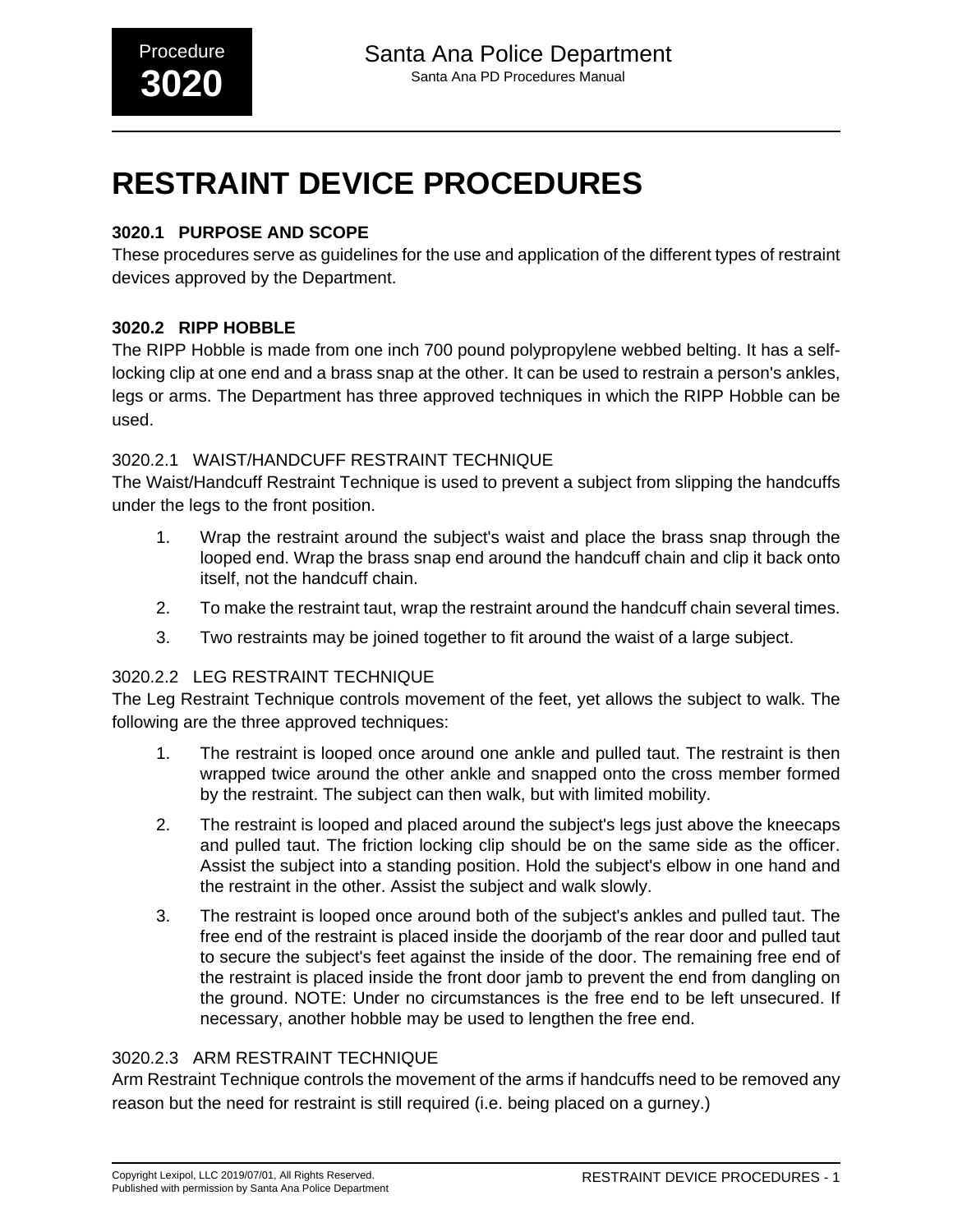# **RESTRAINT DEVICE PROCEDURES**

# **3020.1 PURPOSE AND SCOPE**

These procedures serve as guidelines for the use and application of the different types of restraint devices approved by the Department.

## **3020.2 RIPP HOBBLE**

The RIPP Hobble is made from one inch 700 pound polypropylene webbed belting. It has a selflocking clip at one end and a brass snap at the other. It can be used to restrain a person's ankles, legs or arms. The Department has three approved techniques in which the RIPP Hobble can be used.

## 3020.2.1 WAIST/HANDCUFF RESTRAINT TECHNIQUE

The Waist/Handcuff Restraint Technique is used to prevent a subject from slipping the handcuffs under the legs to the front position.

- 1. Wrap the restraint around the subject's waist and place the brass snap through the looped end. Wrap the brass snap end around the handcuff chain and clip it back onto itself, not the handcuff chain.
- 2. To make the restraint taut, wrap the restraint around the handcuff chain several times.
- 3. Two restraints may be joined together to fit around the waist of a large subject.

# 3020.2.2 LEG RESTRAINT TECHNIQUE

The Leg Restraint Technique controls movement of the feet, yet allows the subject to walk. The following are the three approved techniques:

- 1. The restraint is looped once around one ankle and pulled taut. The restraint is then wrapped twice around the other ankle and snapped onto the cross member formed by the restraint. The subject can then walk, but with limited mobility.
- 2. The restraint is looped and placed around the subject's legs just above the kneecaps and pulled taut. The friction locking clip should be on the same side as the officer. Assist the subject into a standing position. Hold the subject's elbow in one hand and the restraint in the other. Assist the subject and walk slowly.
- 3. The restraint is looped once around both of the subject's ankles and pulled taut. The free end of the restraint is placed inside the doorjamb of the rear door and pulled taut to secure the subject's feet against the inside of the door. The remaining free end of the restraint is placed inside the front door jamb to prevent the end from dangling on the ground. NOTE: Under no circumstances is the free end to be left unsecured. If necessary, another hobble may be used to lengthen the free end.

## 3020.2.3 ARM RESTRAINT TECHNIQUE

Arm Restraint Technique controls the movement of the arms if handcuffs need to be removed any reason but the need for restraint is still required (i.e. being placed on a gurney.)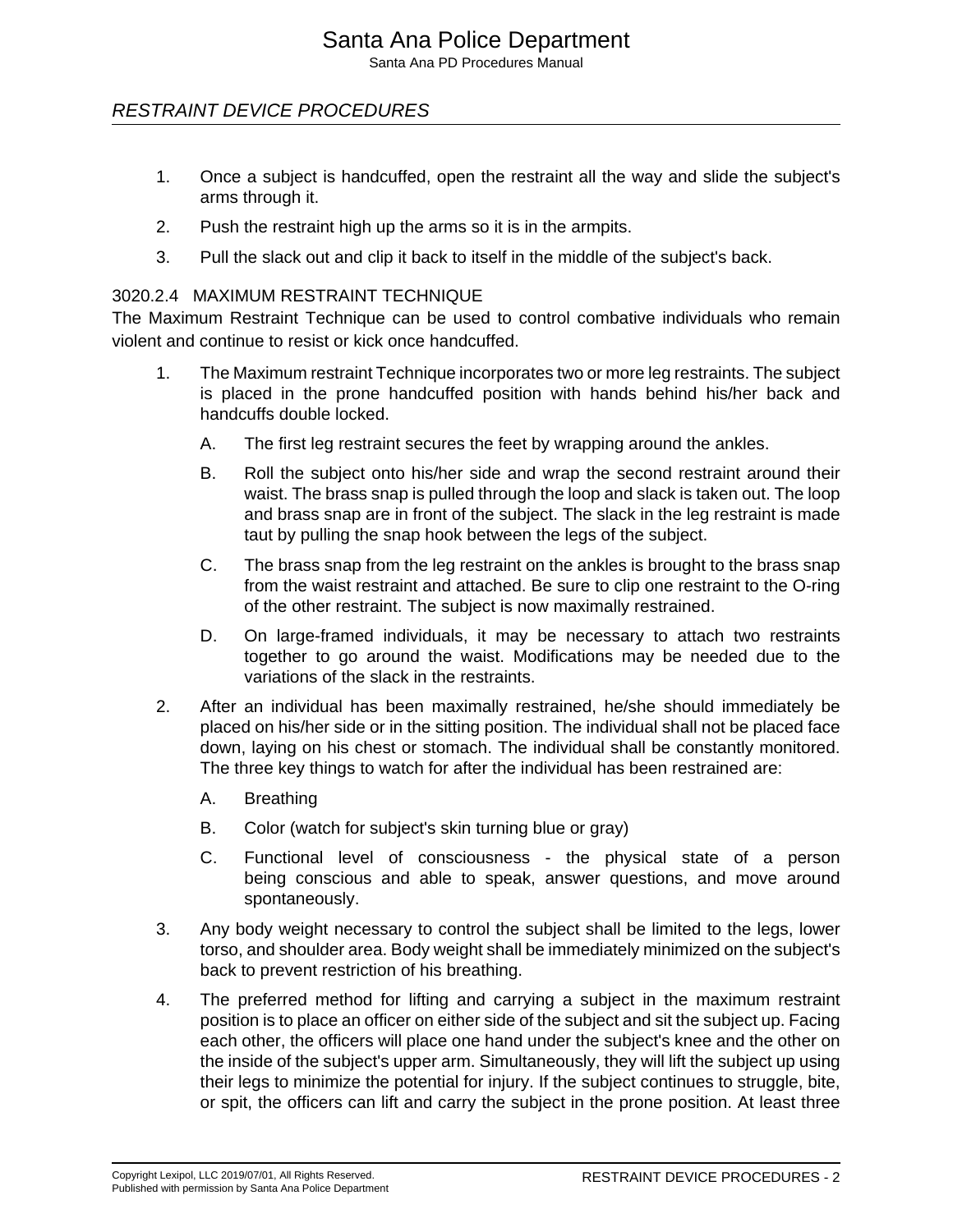# Santa Ana Police Department

Santa Ana PD Procedures Manual

## RESTRAINT DEVICE PROCEDURES

- 1. Once a subject is handcuffed, open the restraint all the way and slide the subject's arms through it.
- 2. Push the restraint high up the arms so it is in the armpits.
- 3. Pull the slack out and clip it back to itself in the middle of the subject's back.

#### 3020.2.4 MAXIMUM RESTRAINT TECHNIQUE

The Maximum Restraint Technique can be used to control combative individuals who remain violent and continue to resist or kick once handcuffed.

- 1. The Maximum restraint Technique incorporates two or more leg restraints. The subject is placed in the prone handcuffed position with hands behind his/her back and handcuffs double locked.
	- A. The first leg restraint secures the feet by wrapping around the ankles.
	- B. Roll the subject onto his/her side and wrap the second restraint around their waist. The brass snap is pulled through the loop and slack is taken out. The loop and brass snap are in front of the subject. The slack in the leg restraint is made taut by pulling the snap hook between the legs of the subject.
	- C. The brass snap from the leg restraint on the ankles is brought to the brass snap from the waist restraint and attached. Be sure to clip one restraint to the O-ring of the other restraint. The subject is now maximally restrained.
	- D. On large-framed individuals, it may be necessary to attach two restraints together to go around the waist. Modifications may be needed due to the variations of the slack in the restraints.
- 2. After an individual has been maximally restrained, he/she should immediately be placed on his/her side or in the sitting position. The individual shall not be placed face down, laying on his chest or stomach. The individual shall be constantly monitored. The three key things to watch for after the individual has been restrained are:
	- A. Breathing
	- B. Color (watch for subject's skin turning blue or gray)
	- C. Functional level of consciousness the physical state of a person being conscious and able to speak, answer questions, and move around spontaneously.
- 3. Any body weight necessary to control the subject shall be limited to the legs, lower torso, and shoulder area. Body weight shall be immediately minimized on the subject's back to prevent restriction of his breathing.
- 4. The preferred method for lifting and carrying a subject in the maximum restraint position is to place an officer on either side of the subject and sit the subject up. Facing each other, the officers will place one hand under the subject's knee and the other on the inside of the subject's upper arm. Simultaneously, they will lift the subject up using their legs to minimize the potential for injury. If the subject continues to struggle, bite, or spit, the officers can lift and carry the subject in the prone position. At least three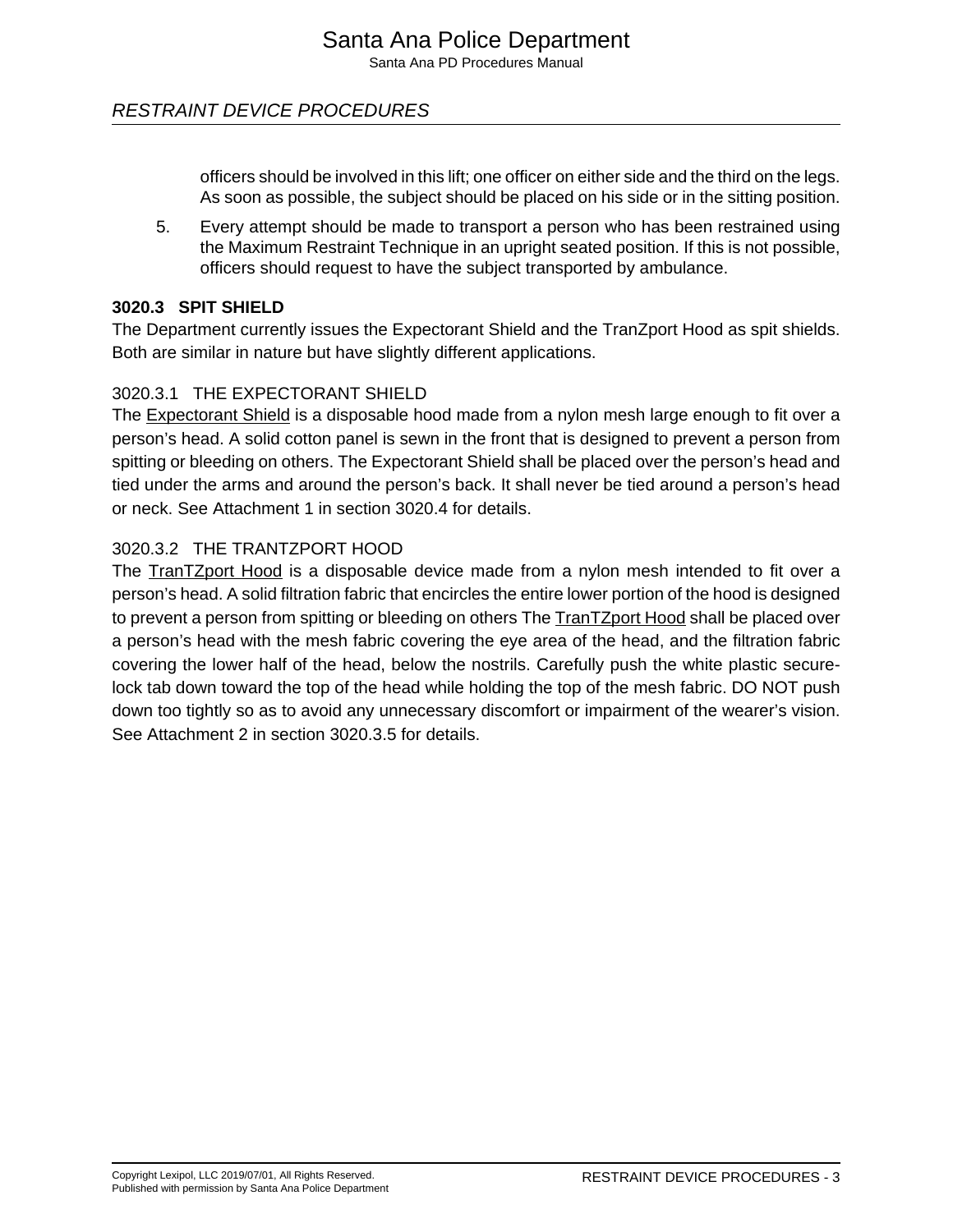# RESTRAINT DEVICE PROCEDURES

officers should be involved in this lift; one officer on either side and the third on the legs. As soon as possible, the subject should be placed on his side or in the sitting position.

5. Every attempt should be made to transport a person who has been restrained using the Maximum Restraint Technique in an upright seated position. If this is not possible, officers should request to have the subject transported by ambulance.

#### **3020.3 SPIT SHIELD**

The Department currently issues the Expectorant Shield and the TranZport Hood as spit shields. Both are similar in nature but have slightly different applications.

#### 3020.3.1 THE EXPECTORANT SHIELD

The Expectorant Shield is a disposable hood made from a nylon mesh large enough to fit over a person's head. A solid cotton panel is sewn in the front that is designed to prevent a person from spitting or bleeding on others. The Expectorant Shield shall be placed over the person's head and tied under the arms and around the person's back. It shall never be tied around a person's head or neck. See Attachment 1 in section 3020.4 for details.

#### 3020.3.2 THE TRANTZPORT HOOD

The **TranTZport Hood** is a disposable device made from a nylon mesh intended to fit over a person's head. A solid filtration fabric that encircles the entire lower portion of the hood is designed to prevent a person from spitting or bleeding on others The TranTZport Hood shall be placed over a person's head with the mesh fabric covering the eye area of the head, and the filtration fabric covering the lower half of the head, below the nostrils. Carefully push the white plastic securelock tab down toward the top of the head while holding the top of the mesh fabric. DO NOT push down too tightly so as to avoid any unnecessary discomfort or impairment of the wearer's vision. See Attachment 2 in section 3020.3.5 for details.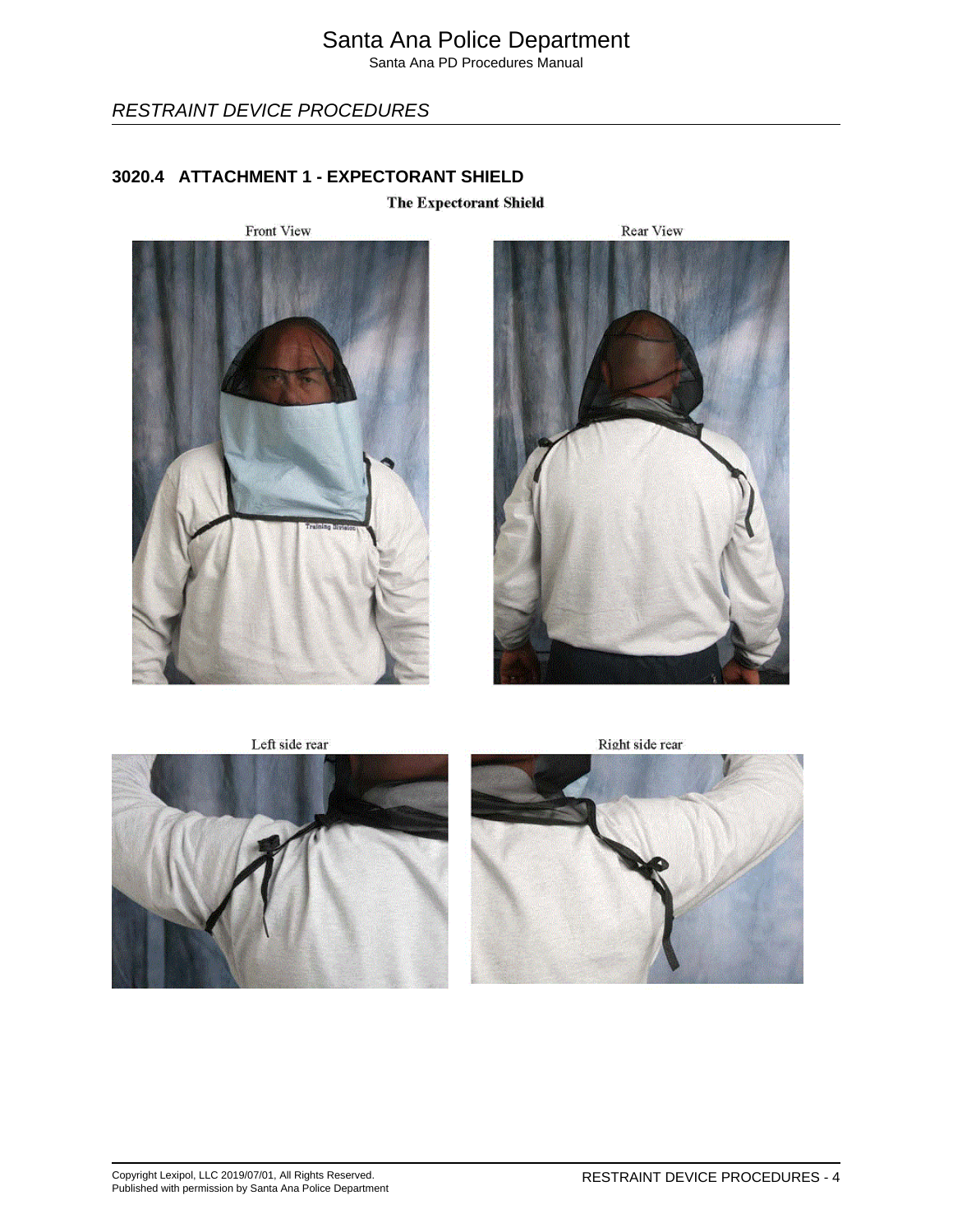RESTRAINT DEVICE PROCEDURES

## **3020.4 ATTACHMENT 1 - EXPECTORANT SHIELD**

The Expectorant Shield





Left side rear